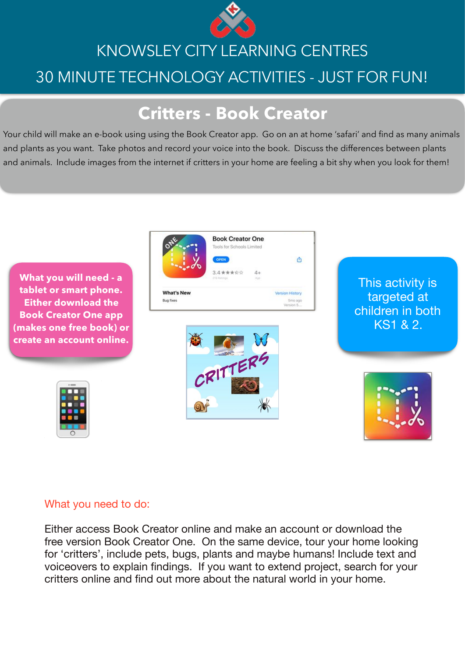

# KNOWSLEY CITY LEARNING CENTRES 30 MINUTE TECHNOLOGY ACTIVITIES - JUST FOR FUN!

### **Critters - Book Creator**

Your child will make an e-book using using the Book Creator app. Go on an at home 'safari' and find as many animals and plants as you want. Take photos and record your voice into the book. Discuss the differences between plants and animals. Include images from the internet if critters in your home are feeling a bit shy when you look for them!



#### What you need to do:

Either access Book Creator online and make an account or download the free version Book Creator One. On the same device, tour your home looking for 'critters', include pets, bugs, plants and maybe humans! Include text and voiceovers to explain findings. If you want to extend project, search for your critters online and find out more about the natural world in your home.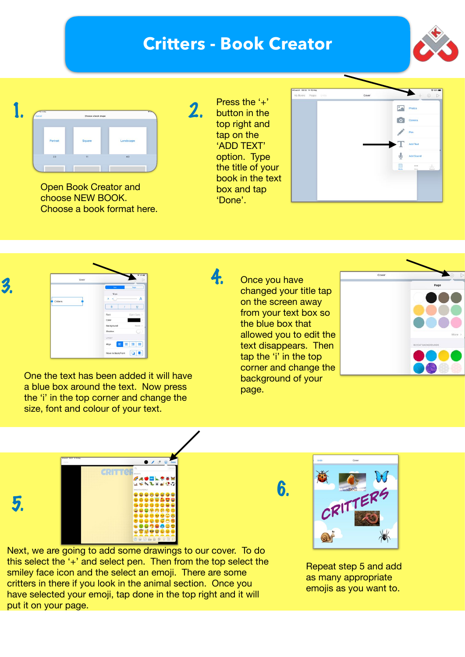## **Critters - Book Creator**

2.





Open Book Creator and choose NEW BOOK. Choose a book format here. Press the '+' button in the top right and tap on the 'ADD TEXT' option. Type the title of your book in the text box and tap 'Done'.

4.

| 4 Search 08:59 Fri 15 May<br>My Books Pages | Undo | Cover |            | <b>9 88%</b><br>$+ 0 $   |
|---------------------------------------------|------|-------|------------|--------------------------|
|                                             |      |       | ø.         | Photos                   |
|                                             |      |       | $\bullet$  | Camera                   |
|                                             |      |       |            | Pen                      |
|                                             |      |       |            | Add Text                 |
|                                             |      |       | J.         | Add Sound                |
|                                             |      |       | E<br>Media | d.<br><br>Shared<br>Mary |
|                                             |      |       |            |                          |
|                                             |      |       |            |                          |



One the text has been added it will have a blue box around the text. Now press the 'i' in the top corner and change the size, font and colour of your text.

changed your title tap on the screen away from your text box so the blue box that allowed you to edit the text disappears. Then tap the 'i' in the top corner and change the background of your page.





5.

Next, we are going to add some drawings to our cover. To do this select the '+' and select pen. Then from the top select the smiley face icon and the select an emoji. There are some critters in there if you look in the animal section. Once you have selected your emoji, tap done in the top right and it will put it on your page.

6.



Repeat step 5 and add as many appropriate emojis as you want to.